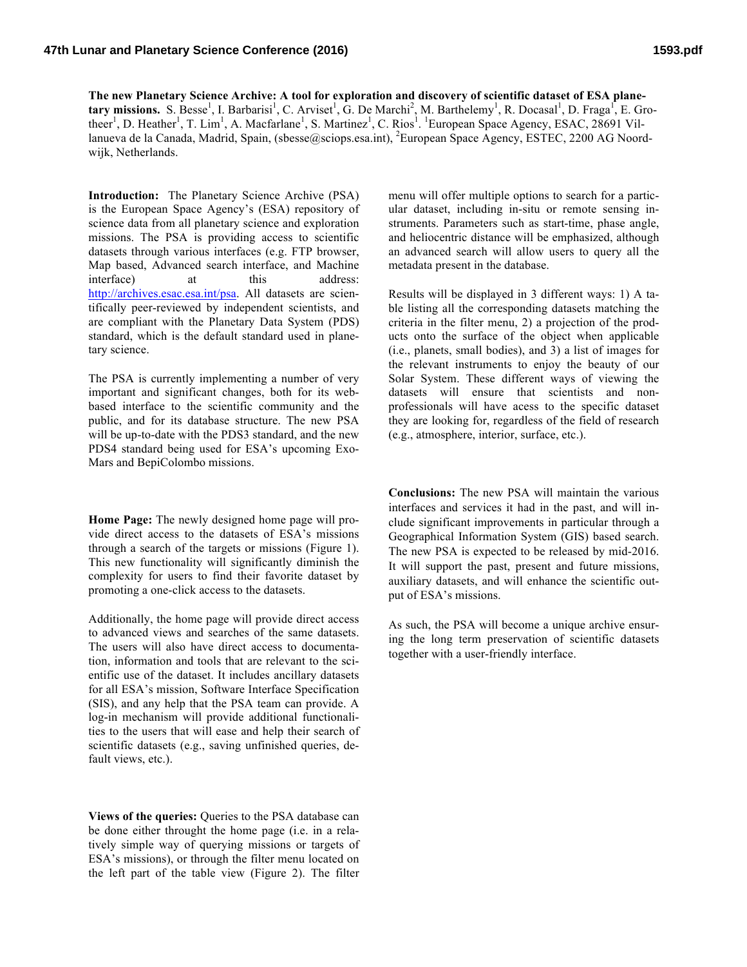## **47th Lunar and Planetary Science Conference (2016) 1593.pdf**

**The new Planetary Science Archive: A tool for exploration and discovery of scientific dataset of ESA plane-** $\boldsymbol{\text{tary missions. S. Besse}}^1$ , I. Barbarisi<sup>1</sup>, C. Arviset<sup>1</sup>, G. De Marchi<sup>2</sup>, M. Barthelemy<sup>1</sup>, R. Docasal<sup>1</sup>, D. Fraga<sup>1</sup>, E. Grotheer<sup>1</sup>, D. Heather<sup>1</sup>, T. Lim<sup>1</sup>, A. Macfarlane<sup>1</sup>, S. Martinez<sup>1</sup>, C. Rios<sup>1</sup>. <sup>1</sup>European Space Agency, ESAC, 28691 Villanueva de la Canada, Madrid, Spain, (sbesse@sciops.esa.int), <sup>2</sup>European Space Agency, ESTEC, 2200 AG Noordwijk, Netherlands.

**Introduction:** The Planetary Science Archive (PSA) is the European Space Agency's (ESA) repository of science data from all planetary science and exploration missions. The PSA is providing access to scientific datasets through various interfaces (e.g. FTP browser, Map based, Advanced search interface, and Machine interface) at this address: http://archives.esac.esa.int/psa. All datasets are scientifically peer-reviewed by independent scientists, and are compliant with the Planetary Data System (PDS) standard, which is the default standard used in planetary science.

The PSA is currently implementing a number of very important and significant changes, both for its webbased interface to the scientific community and the public, and for its database structure. The new PSA will be up-to-date with the PDS3 standard, and the new PDS4 standard being used for ESA's upcoming Exo-Mars and BepiColombo missions.

**Home Page:** The newly designed home page will provide direct access to the datasets of ESA's missions through a search of the targets or missions (Figure 1). This new functionality will significantly diminish the complexity for users to find their favorite dataset by promoting a one-click access to the datasets.

Additionally, the home page will provide direct access to advanced views and searches of the same datasets. The users will also have direct access to documentation, information and tools that are relevant to the scientific use of the dataset. It includes ancillary datasets for all ESA's mission, Software Interface Specification (SIS), and any help that the PSA team can provide. A log-in mechanism will provide additional functionalities to the users that will ease and help their search of scientific datasets (e.g., saving unfinished queries, default views, etc.).

**Views of the queries:** Queries to the PSA database can be done either throught the home page (i.e. in a relatively simple way of querying missions or targets of ESA's missions), or through the filter menu located on the left part of the table view (Figure 2). The filter

menu will offer multiple options to search for a particular dataset, including in-situ or remote sensing instruments. Parameters such as start-time, phase angle, and heliocentric distance will be emphasized, although an advanced search will allow users to query all the metadata present in the database.

Results will be displayed in 3 different ways: 1) A table listing all the corresponding datasets matching the criteria in the filter menu, 2) a projection of the products onto the surface of the object when applicable (i.e., planets, small bodies), and 3) a list of images for the relevant instruments to enjoy the beauty of our Solar System. These different ways of viewing the datasets will ensure that scientists and nonprofessionals will have acess to the specific dataset they are looking for, regardless of the field of research (e.g., atmosphere, interior, surface, etc.).

**Conclusions:** The new PSA will maintain the various interfaces and services it had in the past, and will include significant improvements in particular through a Geographical Information System (GIS) based search. The new PSA is expected to be released by mid-2016. It will support the past, present and future missions, auxiliary datasets, and will enhance the scientific output of ESA's missions.

As such, the PSA will become a unique archive ensuring the long term preservation of scientific datasets together with a user-friendly interface.